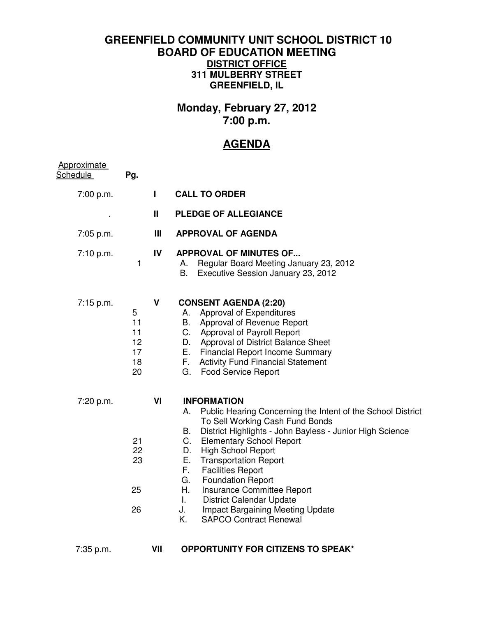## **GREENFIELD COMMUNITY UNIT SCHOOL DISTRICT 10 BOARD OF EDUCATION MEETING DISTRICT OFFICE 311 MULBERRY STREET GREENFIELD, IL**

## **Monday, February 27, 2012 7:00 p.m.**

## **AGENDA**

| <b>Approximate</b><br>Schedule | Pg.                                   |                |                                                                                                                                                                                                                                                                                                                                                                                                                                                                                                                                                                   |
|--------------------------------|---------------------------------------|----------------|-------------------------------------------------------------------------------------------------------------------------------------------------------------------------------------------------------------------------------------------------------------------------------------------------------------------------------------------------------------------------------------------------------------------------------------------------------------------------------------------------------------------------------------------------------------------|
| 7:00 p.m.                      |                                       | $\mathbf{I}$   | <b>CALL TO ORDER</b>                                                                                                                                                                                                                                                                                                                                                                                                                                                                                                                                              |
|                                |                                       | Ш              | <b>PLEDGE OF ALLEGIANCE</b>                                                                                                                                                                                                                                                                                                                                                                                                                                                                                                                                       |
| 7:05 p.m.                      |                                       | $\mathbf{III}$ | <b>APPROVAL OF AGENDA</b>                                                                                                                                                                                                                                                                                                                                                                                                                                                                                                                                         |
| 7:10 p.m.                      | 1                                     | IV             | <b>APPROVAL OF MINUTES OF</b><br>Regular Board Meeting January 23, 2012<br>А.<br>В.<br>Executive Session January 23, 2012                                                                                                                                                                                                                                                                                                                                                                                                                                         |
| 7:15 p.m.                      | 5<br>11<br>11<br>12<br>17<br>18<br>20 | $\mathsf{V}$   | <b>CONSENT AGENDA (2:20)</b><br>Approval of Expenditures<br>А.<br>Approval of Revenue Report<br>В.<br>C. Approval of Payroll Report<br>D. Approval of District Balance Sheet<br>E. .<br><b>Financial Report Income Summary</b><br>F.<br><b>Activity Fund Financial Statement</b><br>G.<br><b>Food Service Report</b>                                                                                                                                                                                                                                              |
| 7:20 p.m.                      | 21<br>22<br>23<br>25<br>26            | VI             | <b>INFORMATION</b><br>А.<br>Public Hearing Concerning the Intent of the School District<br>To Sell Working Cash Fund Bonds<br>District Highlights - John Bayless - Junior High Science<br>В.<br><b>Elementary School Report</b><br>C.<br><b>High School Report</b><br>D.<br>Е.<br><b>Transportation Report</b><br>F.<br><b>Facilities Report</b><br><b>Foundation Report</b><br>G.<br>Insurance Committee Report<br>H.<br><b>District Calendar Update</b><br>$\mathbf{L}$<br>J.<br><b>Impact Bargaining Meeting Update</b><br><b>SAPCO Contract Renewal</b><br>Κ. |
| 7:35 p.m.                      |                                       | VII            | <b>OPPORTUNITY FOR CITIZENS TO SPEAK*</b>                                                                                                                                                                                                                                                                                                                                                                                                                                                                                                                         |